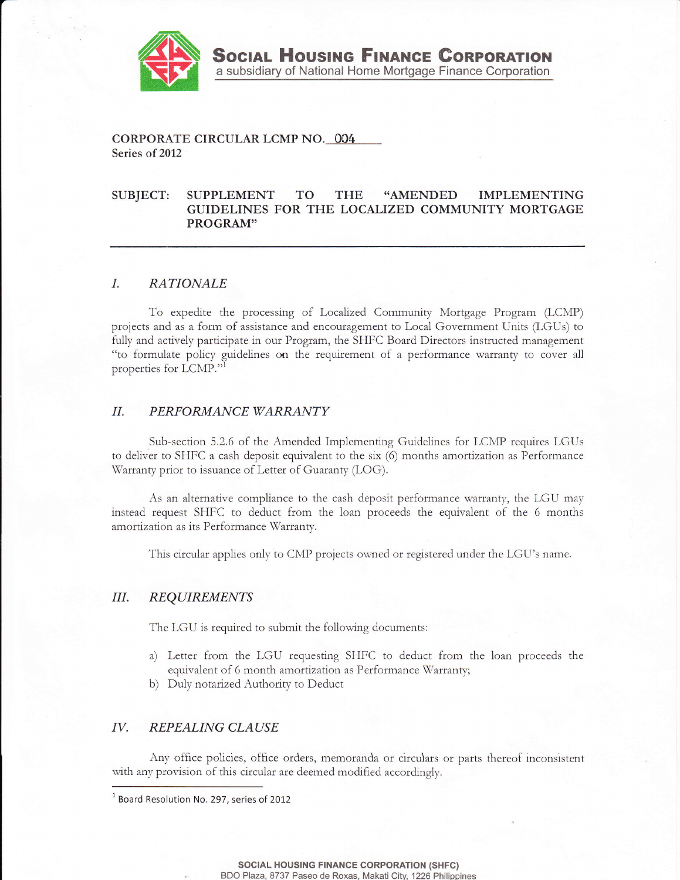

CORPORATE CIRCULAR LCMP NO. 004 Series of 2012

#### TO **THE** "AMENDED SUBJECT: **SUPPLEMENT IMPLEMENTING** GUIDELINES FOR THE LOCALIZED COMMUNITY MORTGAGE PROGRAM"

### $I_{\cdot}$ **RATIONALE**

To expedite the processing of Localized Community Mortgage Program (LCMP) projects and as a form of assistance and encouragement to Local Government Units (LGUs) to fully and actively participate in our Program, the SHFC Board Directors instructed management "to formulate policy guidelines on the requirement of a performance warranty to cover all properties for LCMP."1

### $II.$ PERFORMANCE WARRANTY

Sub-section 5.2.6 of the Amended Implementing Guidelines for LCMP requires LGUs to deliver to SHFC a cash deposit equivalent to the six (6) months amortization as Performance Warranty prior to issuance of Letter of Guaranty (LOG).

As an alternative compliance to the cash deposit performance warranty, the LGU may instead request SHFC to deduct from the loan proceeds the equivalent of the 6 months amortization as its Performance Warranty.

This circular applies only to CMP projects owned or registered under the LGU's name.

## Ш. **REQUIREMENTS**

The LGU is required to submit the following documents:

- a) Letter from the LGU requesting SHFC to deduct from the loan proceeds the equivalent of 6 month amortization as Performance Warranty;
- b) Duly notarized Authority to Deduct

# IV. REPEALING CLAUSE

Any office policies, office orders, memoranda or circulars or parts thereof inconsistent with any provision of this circular are deemed modified accordingly.

<sup>&</sup>lt;sup>1</sup> Board Resolution No. 297, series of 2012